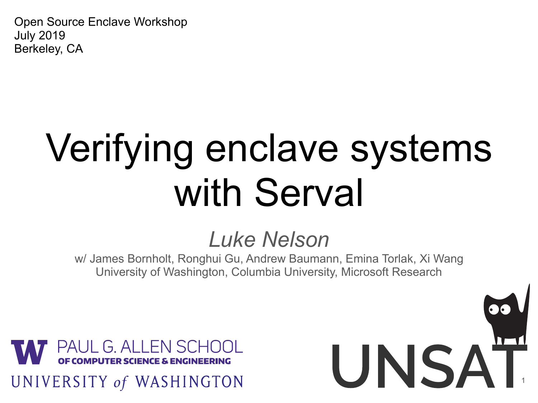Open Source Enclave Workshop July 2019 Berkeley, CA

## Verifying enclave systems with Serval

#### *Luke Nelson*

w/ James Bornholt, Ronghui Gu, Andrew Baumann, Emina Torlak, Xi Wang University of Washington, Columbia University, Microsoft Research

UNSAT

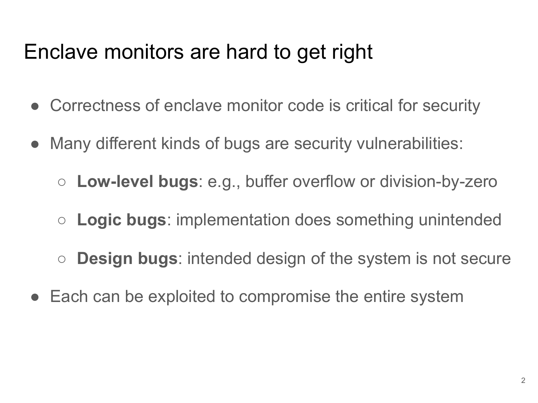#### Enclave monitors are hard to get right

- Correctness of enclave monitor code is critical for security
- Many different kinds of bugs are security vulnerabilities:
	- **Low-level bugs**: e.g., buffer overflow or division-by-zero
	- **Logic bugs**: implementation does something unintended
	- **Design bugs**: intended design of the system is not secure
- Each can be exploited to compromise the entire system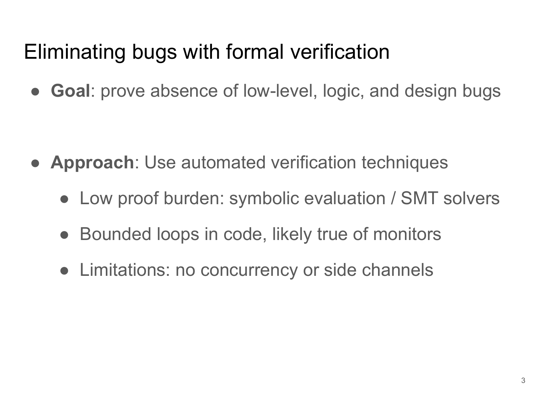#### Eliminating bugs with formal verification

● **Goal**: prove absence of low-level, logic, and design bugs

- **Approach**: Use automated verification techniques
	- Low proof burden: symbolic evaluation / SMT solvers
	- Bounded loops in code, likely true of monitors
	- Limitations: no concurrency or side channels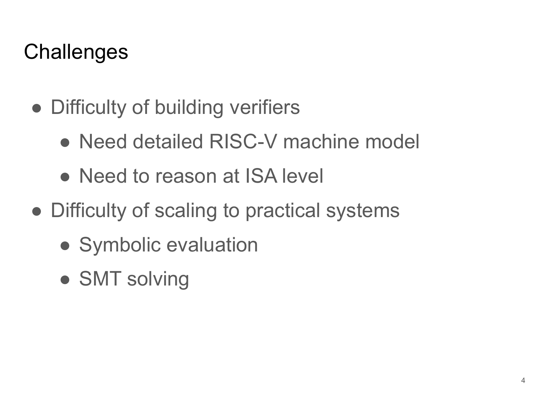#### **Challenges**

- Difficulty of building verifiers
	- Need detailed RISC-V machine model
	- Need to reason at ISA level
- Difficulty of scaling to practical systems
	- Symbolic evaluation
	- SMT solving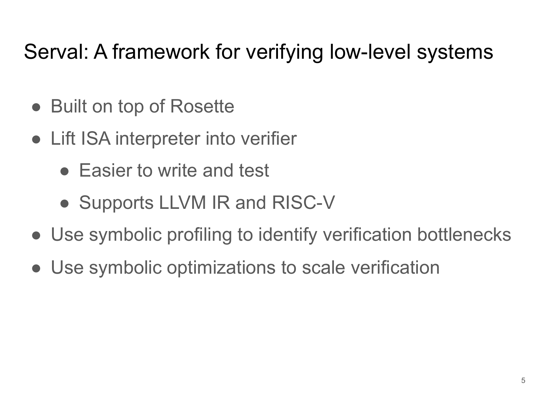#### Serval: A framework for verifying low-level systems

- Built on top of Rosette
- Lift ISA interpreter into verifier
	- Easier to write and test
	- Supports LLVM IR and RISC-V
- Use symbolic profiling to identify verification bottlenecks
- Use symbolic optimizations to scale verification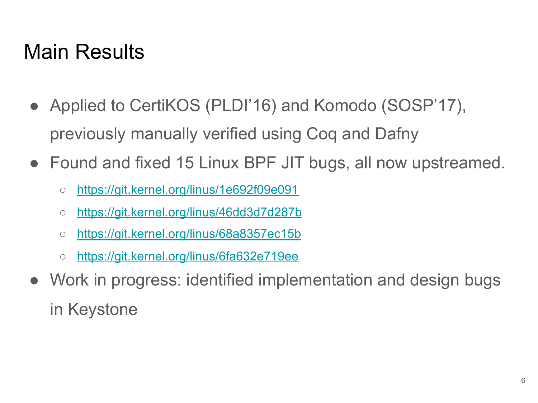#### Main Results

- Applied to CertiKOS (PLDI'16) and Komodo (SOSP'17), previously manually verified using Coq and Dafny
- Found and fixed 15 Linux BPF JIT bugs, all now upstreamed.
	- <https://git.kernel.org/linus/1e692f09e091>
	- <https://git.kernel.org/linus/46dd3d7d287b>
	- <https://git.kernel.org/linus/68a8357ec15b>
	- <https://git.kernel.org/linus/6fa632e719ee>
- Work in progress: identified implementation and design bugs in Keystone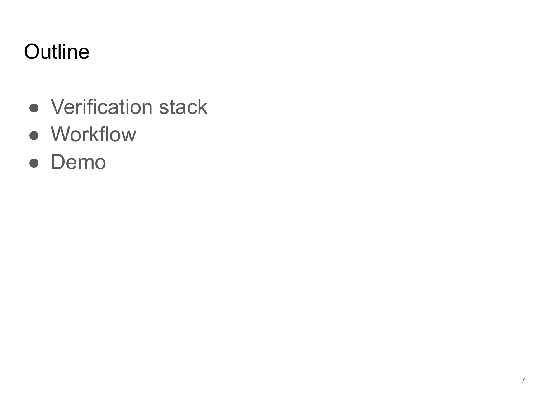#### **Outline**

- Verification stack
- Workflow
- Demo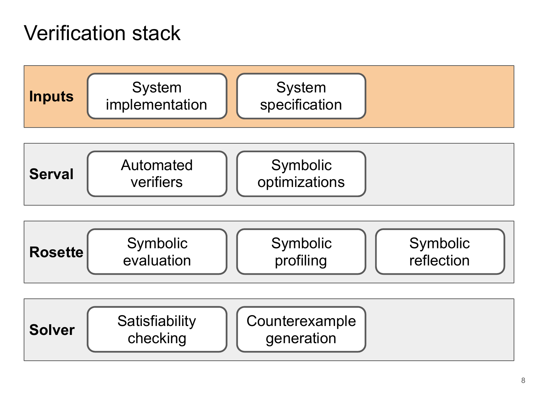#### Verification stack







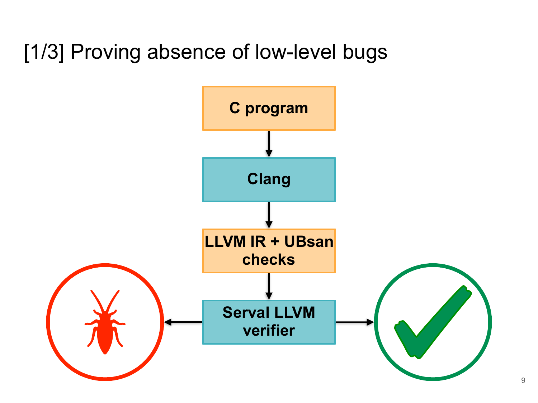#### [1/3] Proving absence of low-level bugs

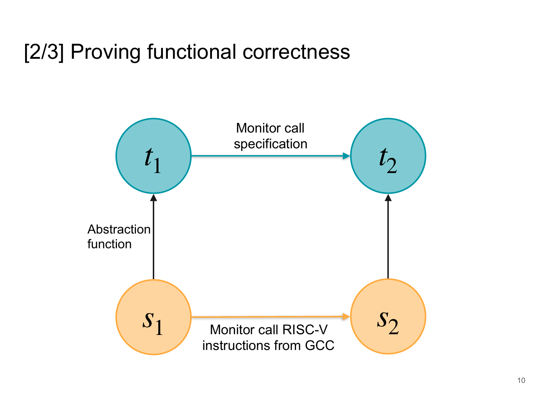#### [2/3] Proving functional correctness

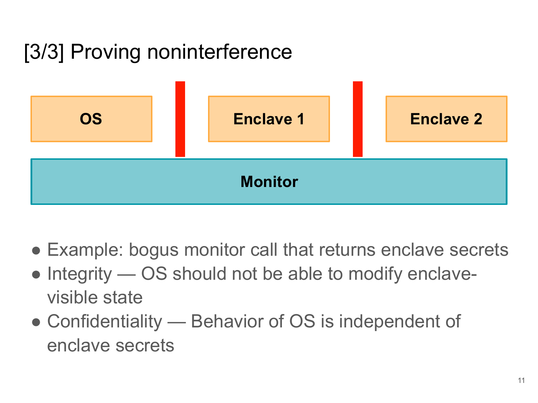#### [3/3] Proving noninterference



- Example: bogus monitor call that returns enclave secrets
- Integrity OS should not be able to modify enclavevisible state
- Confidentiality Behavior of OS is independent of enclave secrets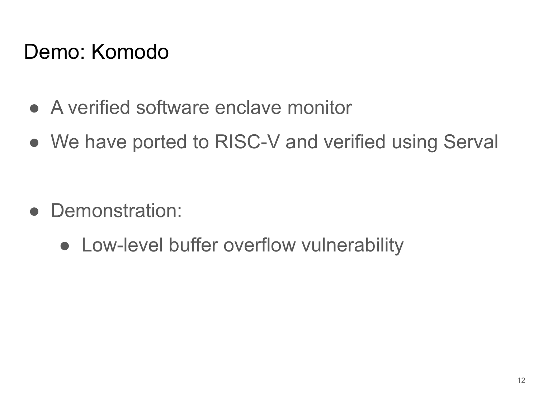#### Demo: Komodo

- A verified software enclave monitor
- We have ported to RISC-V and verified using Serval

- Demonstration:
	- Low-level buffer overflow vulnerability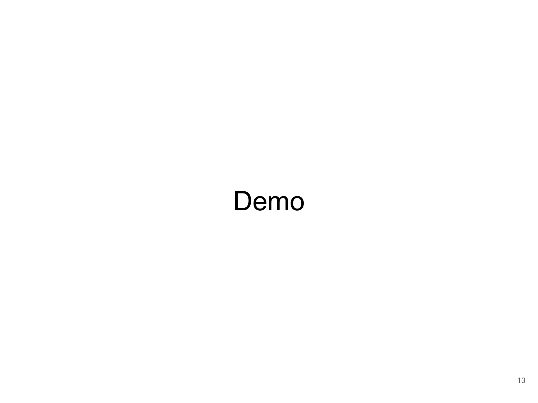### Demo